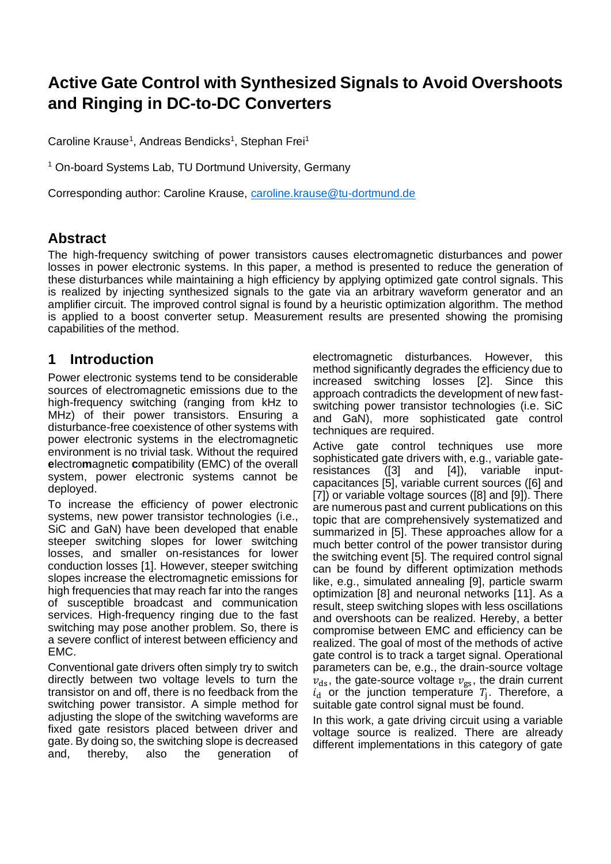# **Active Gate Control with Synthesized Signals to Avoid Overshoots and Ringing in DC-to-DC Converters**

Caroline Krause<sup>1</sup>, Andreas Bendicks<sup>1</sup>, Stephan Frei<sup>1</sup>

<sup>1</sup> On-board Systems Lab, TU Dortmund University, Germany

Corresponding author: Caroline Krause, [caroline.krause@tu-dortmund.de](mailto:caroline.krause@tu-dortmund.de) 

## **Abstract**

The high-frequency switching of power transistors causes electromagnetic disturbances and power losses in power electronic systems. In this paper, a method is presented to reduce the generation of these disturbances while maintaining a high efficiency by applying optimized gate control signals. This is realized by injecting synthesized signals to the gate via an arbitrary waveform generator and an amplifier circuit. The improved control signal is found by a heuristic optimization algorithm. The method is applied to a boost converter setup. Measurement results are presented showing the promising capabilities of the method.

## **1 Introduction**

Power electronic systems tend to be considerable sources of electromagnetic emissions due to the high-frequency switching (ranging from kHz to MHz) of their power transistors. Ensuring a disturbance-free coexistence of other systems with power electronic systems in the electromagnetic environment is no trivial task. Without the required **e**lectro**m**agnetic **c**ompatibility (EMC) of the overall system, power electronic systems cannot be deployed.

To increase the efficiency of power electronic systems, new power transistor technologies (i.e., SiC and GaN) have been developed that enable steeper switching slopes for lower switching losses, and smaller on-resistances for lower conduction losses [\[1\].](#page-5-0) However, steeper switching slopes increase the electromagnetic emissions for high frequencies that may reach far into the ranges of susceptible broadcast and communication services. High-frequency ringing due to the fast switching may pose another problem. So, there is a severe conflict of interest between efficiency and EMC.

Conventional gate drivers often simply try to switch directly between two voltage levels to turn the transistor on and off, there is no feedback from the switching power transistor. A simple method for adjusting the slope of the switching waveforms are fixed gate resistors placed between driver and gate. By doing so, the switching slope is decreased and, thereby, also the generation of

electromagnetic disturbances. However, this method significantly degrades the efficiency due to increased switching losses [\[2\].](#page-5-1) Since this approach contradicts the development of new fastswitching power transistor technologies (i.e. SiC and GaN), more sophisticated gate control techniques are required.

Active gate control techniques use more sophisticated gate drivers with, e.g., variable gateresistances [\(\[3\]](#page-5-2) and [\[4\]\)](#page-5-3), variable inputcapacitances [\[5\],](#page-5-4) variable current sources [\(\[6\]](#page-5-5) and [\[7\]\)](#page-5-6) or variable voltage sources [\(\[8\]](#page-6-0) and [\[9\]\)](#page-6-1). There are numerous past and current publications on this topic that are comprehensively systematized and summarized in [\[5\].](#page-5-4) These approaches allow for a much better control of the power transistor during the switching event [\[5\].](#page-5-4) The required control signal can be found by different optimization methods like, e.g., simulated annealing [\[9\],](#page-6-1) particle swarm optimization [\[8\]](#page-6-0) and neuronal networks [\[11\].](#page-6-2) As a result, steep switching slopes with less oscillations and overshoots can be realized. Hereby, a better compromise between EMC and efficiency can be realized. The goal of most of the methods of active gate control is to track a target signal. Operational parameters can be, e.g., the drain-source voltage  $v_{ds}$ , the gate-source voltage  $v_{gs}$ , the drain current  $i_{\rm d}$  or the junction temperature  $T_{\rm j}$ . Therefore, a suitable gate control signal must be found.

In this work, a gate driving circuit using a variable voltage source is realized. There are already different implementations in this category of gate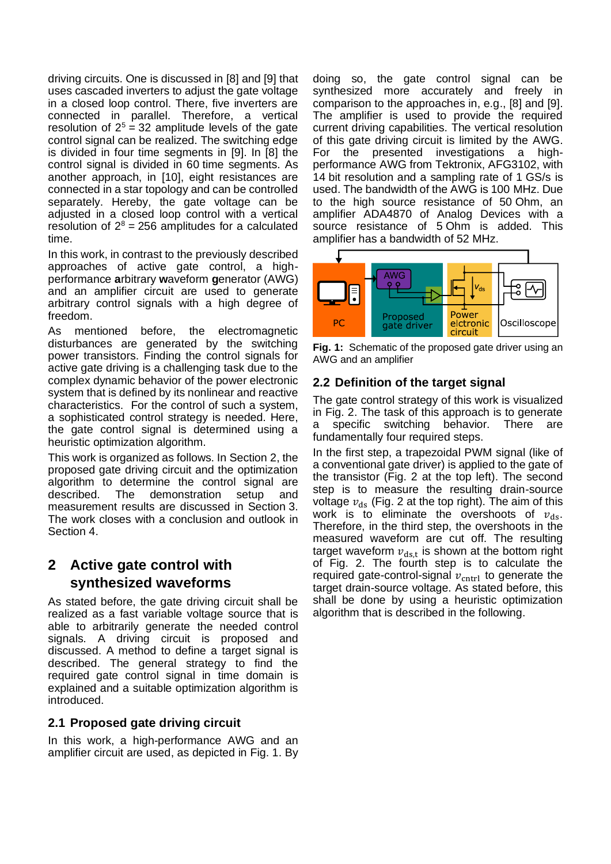driving circuits. One is discussed in [\[8\]](#page-6-0) and [\[9\]](#page-6-1) that uses cascaded inverters to adjust the gate voltage in a closed loop control. There, five inverters are connected in parallel. Therefore, a vertical resolution of  $2^5 = 32$  amplitude levels of the gate control signal can be realized. The switching edge is divided in four time segments in [\[9\].](#page-6-1) In [\[8\]](#page-6-0) the control signal is divided in 60 time segments. As another approach, in [\[10\],](#page-6-3) eight resistances are connected in a star topology and can be controlled separately. Hereby, the gate voltage can be adjusted in a closed loop control with a vertical resolution of  $2^8$  = 256 amplitudes for a calculated time.

In this work, in contrast to the previously described approaches of active gate control, a highperformance **a**rbitrary **w**aveform **g**enerator (AWG) and an amplifier circuit are used to generate arbitrary control signals with a high degree of freedom.

As mentioned before, the electromagnetic disturbances are generated by the switching power transistors. Finding the control signals for active gate driving is a challenging task due to the complex dynamic behavior of the power electronic system that is defined by its nonlinear and reactive characteristics. For the control of such a system, a sophisticated control strategy is needed. Here, the gate control signal is determined using a heuristic optimization algorithm.

This work is organized as follows. In Section [2,](#page-1-0) the proposed gate driving circuit and the optimization algorithm to determine the control signal are described. The demonstration setup and measurement results are discussed in Section [3.](#page-3-0) The work closes with a conclusion and outlook in Section [4.](#page-5-7)

## <span id="page-1-0"></span>**2 Active gate control with synthesized waveforms**

As stated before, the gate driving circuit shall be realized as a fast variable voltage source that is able to arbitrarily generate the needed control signals. A driving circuit is proposed and discussed. A method to define a target signal is described. The general strategy to find the required gate control signal in time domain is explained and a suitable optimization algorithm is introduced.

### **2.1 Proposed gate driving circuit**

In this work, a high-performance AWG and an amplifier circuit are used, as depicted in [Fig. 1.](#page-1-1) By doing so, the gate control signal can be synthesized more accurately and freely in comparison to the approaches in, e.g., [\[8\]](#page-6-0) and [\[9\].](#page-6-1) The amplifier is used to provide the required current driving capabilities. The vertical resolution of this gate driving circuit is limited by the AWG. For the presented investigations a highperformance AWG from Tektronix, AFG3102, with 14 bit resolution and a sampling rate of 1 GS/s is used. The bandwidth of the AWG is 100 MHz. Due to the high source resistance of 50 Ohm, an amplifier ADA4870 of Analog Devices with a source resistance of 5 Ohm is added. This amplifier has a bandwidth of 52 MHz.



<span id="page-1-1"></span>**Fig. 1:** Schematic of the proposed gate driver using an AWG and an amplifier

### **2.2 Definition of the target signal**

The gate control strategy of this work is visualized in [Fig. 2.](#page-2-0) The task of this approach is to generate a specific switching behavior. There are fundamentally four required steps.

In the first step, a trapezoidal PWM signal (like of a conventional gate driver) is applied to the gate of the transistor [\(Fig. 2](#page-2-0) at the top left). The second step is to measure the resulting drain-source voltage  $v_{ds}$  [\(Fig. 2](#page-2-0) at the top right). The aim of this work is to eliminate the overshoots of  $v_{ds}$ . Therefore, in the third step, the overshoots in the measured waveform are cut off. The resulting target waveform  $v_{\rm ds,t}$  is shown at the bottom right of [Fig. 2.](#page-2-0) The fourth step is to calculate the required gate-control-signal  $v_{\text{cntrl}}$  to generate the target drain-source voltage. As stated before, this shall be done by using a heuristic optimization algorithm that is described in the following.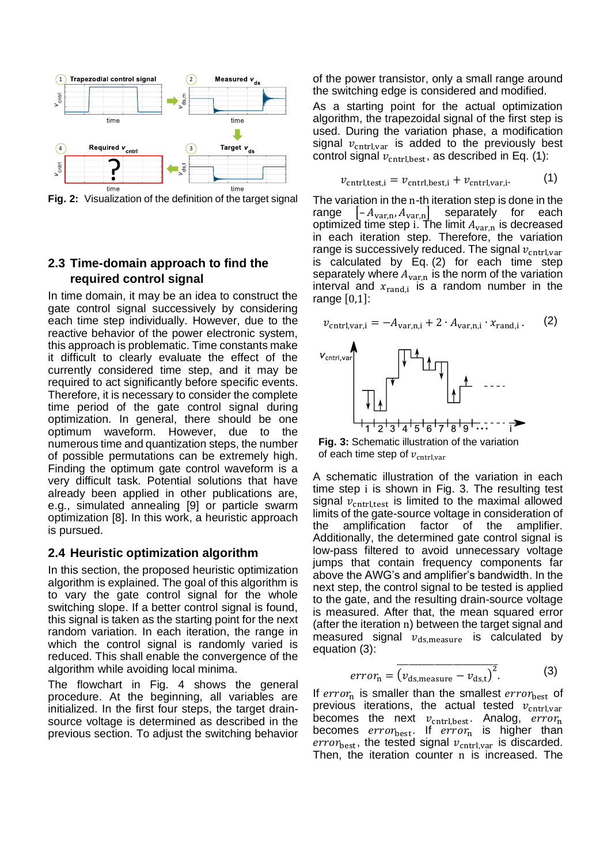

<span id="page-2-0"></span>**Fig. 2:** Visualization of the definition of the target signal

## **2.3 Time-domain approach to find the required control signal**

In time domain, it may be an idea to construct the gate control signal successively by considering each time step individually. However, due to the reactive behavior of the power electronic system, this approach is problematic. Time constants make it difficult to clearly evaluate the effect of the currently considered time step, and it may be required to act significantly before specific events. Therefore, it is necessary to consider the complete time period of the gate control signal during optimization. In general, there should be one optimum waveform. However, due to the numerous time and quantization steps, the number of possible permutations can be extremely high. Finding the optimum gate control waveform is a very difficult task. Potential solutions that have already been applied in other publications are, e.g., simulated annealing [\[9\]](#page-6-1) or particle swarm optimization [\[8\].](#page-6-0) In this work, a heuristic approach is pursued.

#### **2.4 Heuristic optimization algorithm**

In this section, the proposed heuristic optimization algorithm is explained. The goal of this algorithm is to vary the gate control signal for the whole switching slope. If a better control signal is found, this signal is taken as the starting point for the next random variation. In each iteration, the range in which the control signal is randomly varied is reduced. This shall enable the convergence of the algorithm while avoiding local minima.

The flowchart in [Fig. 4](#page-3-1) shows the general procedure. At the beginning, all variables are initialized. In the first four steps, the target drainsource voltage is determined as described in the previous section. To adjust the switching behavior of the power transistor, only a small range around the switching edge is considered and modified.

As a starting point for the actual optimization algorithm, the trapezoidal signal of the first step is used. During the variation phase, a modification signal  $v_{\text{cntrl,var}}$  is added to the previously best control signal  $v_{\text{cntrl,best}}$ , as described in Eq. (1):

$$
v_{\text{cntrl,test},i} = v_{\text{cntrl,best},i} + v_{\text{cntrl,var},i}.
$$
 (1)

The variation in the n-th iteration step is done in the range  $[-A_{var,n}, A_{var,n}]$  separately for each optimized time step i. The limit  $A_{\text{var,n}}$  is decreased in each iteration step. Therefore, the variation range is successively reduced. The signal  $v_{\text{cntrl,var}}$ is calculated by Eq. (2) for each time step separately where  $A_{\text{var,n}}$  is the norm of the variation interval and  $x_{\text{rand},i}$  is a random number in the range  $[0,1]$ :

$$
v_{\text{cntrl,var,i}} = -A_{\text{var,n,i}} + 2 \cdot A_{\text{var,n,i}} \cdot x_{\text{rand,i}} \,. \tag{2}
$$



<span id="page-2-1"></span>**Fig. 3:** Schematic illustration of the variation of each time step of  $v_{\text{cntrl,var}}$ 

A schematic illustration of the variation in each time step i is shown in [Fig. 3.](#page-2-1) The resulting test signal  $v_{\text{cntrl,test}}$  is limited to the maximal allowed limits of the gate-source voltage in consideration of the amplification factor of the amplifier. Additionally, the determined gate control signal is low-pass filtered to avoid unnecessary voltage jumps that contain frequency components far above the AWG's and amplifier's bandwidth. In the next step, the control signal to be tested is applied to the gate, and the resulting drain-source voltage is measured. After that, the mean squared error (after the iteration n) between the target signal and measured signal  $v_{ds,measure}$  is calculated by equation (3):

$$
error_{n} = \overline{\left(v_{ds,measure} - v_{ds,t}\right)^{2}}.
$$
 (3)

If  $error_n$  is smaller than the smallest  $error_{best}$  of previous iterations, the actual tested  $v_{\text{cntrl,var}}$ becomes the next  $v_{\text{cntrl,best}}$ . Analog,  $error_{n}$ becomes  $error_{best}$ . If  $error_{n}$  is higher than erro $r_{\text{best}}$ , the tested signal  $v_{\text{cntrl, var}}$  is discarded. Then, the iteration counter n is increased. The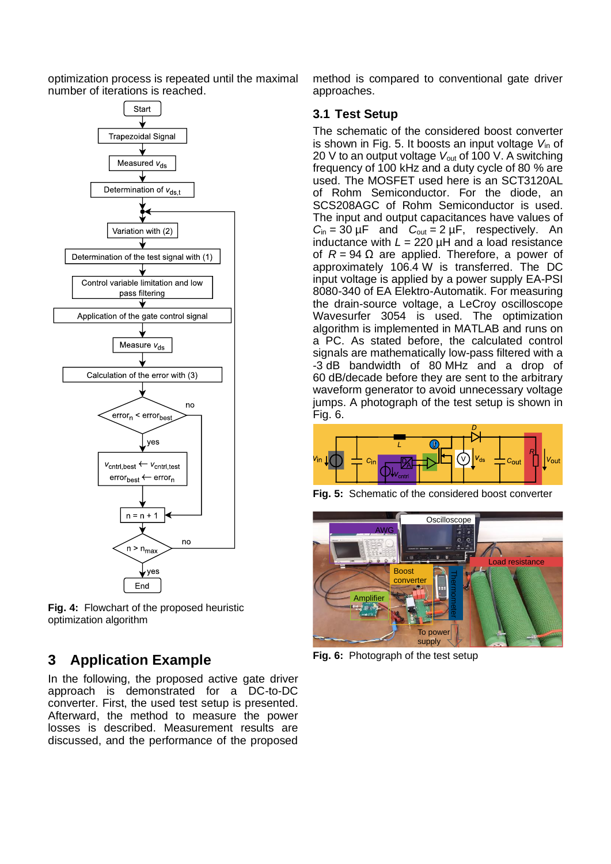optimization process is repeated until the maximal number of iterations is reached.



<span id="page-3-1"></span>**Fig. 4:** Flowchart of the proposed heuristic optimization algorithm

## <span id="page-3-0"></span>**3 Application Example**

In the following, the proposed active gate driver approach is demonstrated for a DC-to-DC converter. First, the used test setup is presented. Afterward, the method to measure the power losses is described. Measurement results are discussed, and the performance of the proposed method is compared to conventional gate driver approaches.

## **3.1 Test Setup**

The schematic of the considered boost converter is shown in [Fig. 5.](#page-3-2) It boosts an input voltage V<sub>in</sub> of 20 V to an output voltage *V*out of 100 V. A switching frequency of 100 kHz and a duty cycle of 80 % are used. The MOSFET used here is an SCT3120AL of Rohm Semiconductor. For the diode, an SCS208AGC of Rohm Semiconductor is used. The input and output capacitances have values of  $C_{\text{in}} = 30 \ \mu\text{F}$  and  $C_{\text{out}} = 2 \ \mu\text{F}$ , respectively. An inductance with  $L = 220 \mu H$  and a load resistance of  $R = 94 \Omega$  are applied. Therefore, a power of approximately 106.4 W is transferred. The DC input voltage is applied by a power supply EA-PSI 8080-340 of EA Elektro-Automatik. For measuring the drain-source voltage, a LeCroy oscilloscope Wavesurfer 3054 is used. The optimization algorithm is implemented in MATLAB and runs on a PC. As stated before, the calculated control signals are mathematically low-pass filtered with a -3 dB bandwidth of 80 MHz and a drop of 60 dB/decade before they are sent to the arbitrary waveform generator to avoid unnecessary voltage jumps. A photograph of the test setup is shown in [Fig. 6.](#page-3-3)



<span id="page-3-2"></span>**Fig. 5:** Schematic of the considered boost converter

<span id="page-3-3"></span>

**Fig. 6:** Photograph of the test setup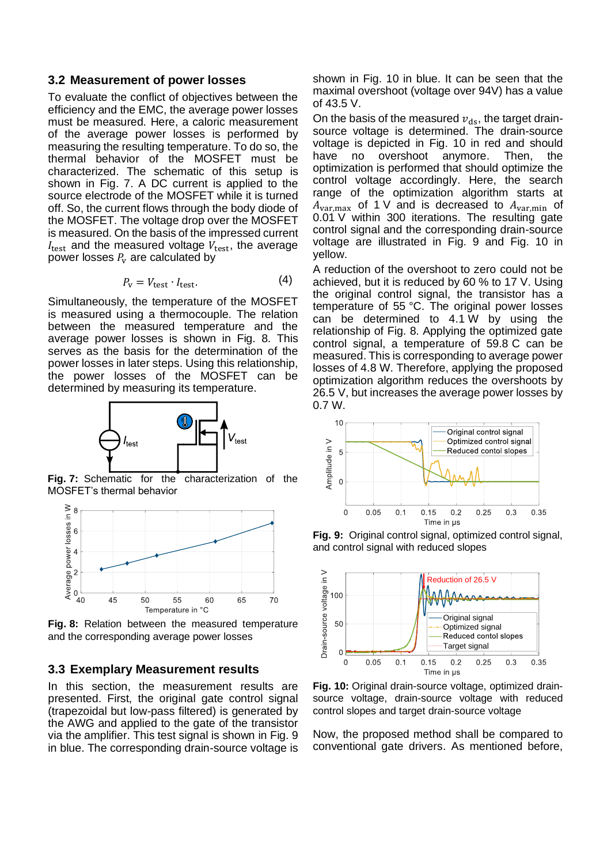#### **3.2 Measurement of power losses**

To evaluate the conflict of objectives between the efficiency and the EMC, the average power losses must be measured. Here, a caloric measurement of the average power losses is performed by measuring the resulting temperature. To do so, the thermal behavior of the MOSFET must be characterized. The schematic of this setup is shown in [Fig. 7.](#page-4-0) A DC current is applied to the source electrode of the MOSFET while it is turned off. So, the current flows through the body diode of the MOSFET. The voltage drop over the MOSFET is measured. On the basis of the impressed current  $I_{\text{test}}$  and the measured voltage  $V_{\text{test}}$ , the average power losses  $P_v$  are calculated by

$$
P_{\rm v} = V_{\rm test} \cdot I_{\rm test}.\tag{4}
$$

Simultaneously, the temperature of the MOSFET is measured using a thermocouple. The relation between the measured temperature and the average power losses is shown in [Fig. 8.](#page-4-1) This serves as the basis for the determination of the power losses in later steps. Using this relationship, the power losses of the MOSFET can be determined by measuring its temperature.



<span id="page-4-0"></span>**Fig. 7:** Schematic for the characterization of the MOSFET's thermal behavior



<span id="page-4-1"></span>**Fig. 8:** Relation between the measured temperature and the corresponding average power losses

#### **3.3 Exemplary Measurement results**

In this section, the measurement results are presented. First, the original gate control signal (trapezoidal but low-pass filtered) is generated by the AWG and applied to the gate of the transistor via the amplifier. This test signal is shown in [Fig. 9](#page-4-2) in blue. The corresponding drain-source voltage is

shown in [Fig. 10](#page-4-3) in blue. It can be seen that the maximal overshoot (voltage over 94V) has a value of 43.5 V.

On the basis of the measured  $v_{ds}$ , the target drainsource voltage is determined. The drain-source voltage is depicted in [Fig. 10](#page-4-3) in red and should have no overshoot anymore. Then, the optimization is performed that should optimize the control voltage accordingly. Here, the search range of the optimization algorithm starts at  $A_{\text{var,max}}$  of 1 V and is decreased to  $A_{\text{var,min}}$  of 0.01 V within 300 iterations. The resulting gate control signal and the corresponding drain-source voltage are illustrated in [Fig. 9](#page-4-2) and [Fig. 10](#page-4-3) in yellow.

A reduction of the overshoot to zero could not be achieved, but it is reduced by 60 % to 17 V. Using the original control signal, the transistor has a temperature of 55 °C. The original power losses can be determined to 4.1 W by using the relationship of [Fig. 8.](#page-4-1) Applying the optimized gate control signal, a temperature of 59.8 C can be measured. This is corresponding to average power losses of 4.8 W. Therefore, applying the proposed optimization algorithm reduces the overshoots by 26.5 V, but increases the average power losses by 0.7 W.



<span id="page-4-2"></span>



<span id="page-4-3"></span>**Fig. 10:** Original drain-source voltage, optimized drainsource voltage, drain-source voltage with reduced source voltage, drain-source voltage with<br>control slopes and target drain-source voltage  $T<sub>g</sub>$ 

Now, the proposed method shall be compared to conventional gate drivers. As mentioned before,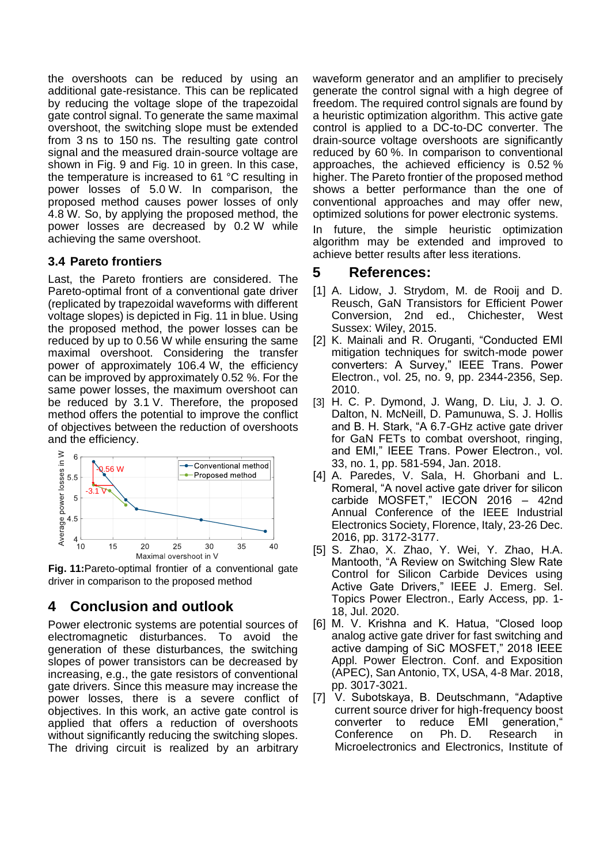the overshoots can be reduced by using an additional gate-resistance. This can be replicated by reducing the voltage slope of the trapezoidal gate control signal. To generate the same maximal overshoot, the switching slope must be extended from 3 ns to 150 ns. The resulting gate control signal and the measured drain-source voltage are shown in [Fig. 9](#page-4-2) and [Fig. 10](#page-4-3) in green. In this case, the temperature is increased to 61 °C resulting in power losses of 5.0 W. In comparison, the proposed method causes power losses of only 4.8 W. So, by applying the proposed method, the power losses are decreased by 0.2 W while achieving the same overshoot.

### **3.4 Pareto frontiers**

Last, the Pareto frontiers are considered. The Pareto-optimal front of a conventional gate driver (replicated by trapezoidal waveforms with different voltage slopes) is depicted in [Fig. 11](#page-5-8) in blue. Using the proposed method, the power losses can be reduced by up to 0.56 W while ensuring the same maximal overshoot. Considering the transfer power of approximately 106.4 W, the efficiency can be improved by approximately 0.52 %. For the same power losses, the maximum overshoot can be reduced by 3.1 V. Therefore, the proposed method offers the potential to improve the conflict of objectives between the reduction of overshoots and the efficiency.



<span id="page-5-8"></span>**Fig. 11:**Pareto-optimal frontier of a conventional gate driver in comparison to the proposed method

## <span id="page-5-7"></span>**4 Conclusion and outlook**

Power electronic systems are potential sources of electromagnetic disturbances. To avoid the generation of these disturbances, the switching slopes of power transistors can be decreased by increasing, e.g., the gate resistors of conventional gate drivers. Since this measure may increase the power losses, there is a severe conflict of objectives. In this work, an active gate control is applied that offers a reduction of overshoots without significantly reducing the switching slopes. The driving circuit is realized by an arbitrary

waveform generator and an amplifier to precisely generate the control signal with a high degree of freedom. The required control signals are found by a heuristic optimization algorithm. This active gate control is applied to a DC-to-DC converter. The drain-source voltage overshoots are significantly reduced by 60 %. In comparison to conventional approaches, the achieved efficiency is 0.52 % higher. The Pareto frontier of the proposed method shows a better performance than the one of conventional approaches and may offer new, optimized solutions for power electronic systems.

In future, the simple heuristic optimization algorithm may be extended and improved to achieve better results after less iterations.

## **5 References:**

- <span id="page-5-0"></span>[1] A. Lidow, J. Strydom, M. de Rooii and D. Reusch, GaN Transistors for Efficient Power Conversion, 2nd ed., Chichester, West Sussex: Wiley, 2015.
- <span id="page-5-1"></span>[2] K. Mainali and R. Oruganti, "Conducted EMI mitigation techniques for switch-mode power converters: A Survey," IEEE Trans. Power Electron., vol. 25, no. 9, pp. 2344-2356, Sep. 2010.
- <span id="page-5-2"></span>[3] H. C. P. Dymond, J. Wang, D. Liu, J. J. O. Dalton, N. McNeill, D. Pamunuwa, S. J. Hollis and B. H. Stark, "A 6.7-GHz active gate driver for GaN FETs to combat overshoot, ringing, and EMI," IEEE Trans. Power Electron., vol. 33, no. 1, pp. 581-594, Jan. 2018.
- <span id="page-5-3"></span>[4] A. Paredes, V. Sala, H. Ghorbani and L. Romeral, "A novel active gate driver for silicon carbide MOSFET," IECON 2016 – 42nd Annual Conference of the IEEE Industrial Electronics Society, Florence, Italy, 23-26 Dec. 2016, pp. 3172-3177.
- <span id="page-5-4"></span>[5] S. Zhao, X. Zhao, Y. Wei, Y. Zhao, H.A. Mantooth, "A Review on Switching Slew Rate Control for Silicon Carbide Devices using Active Gate Drivers," IEEE J. Emerg. Sel. Topics Power Electron., Early Access, pp. 1- 18, Jul. 2020.
- <span id="page-5-5"></span>[6] M. V. Krishna and K. Hatua, "Closed loop analog active gate driver for fast switching and active damping of SiC MOSFET," 2018 IEEE Appl. Power Electron. Conf. and Exposition (APEC), San Antonio, TX, USA, 4-8 Mar. 2018, pp. 3017-3021.
- <span id="page-5-6"></span>[7] V. Subotskaya, B. Deutschmann, "Adaptive current source driver for high-frequency boost converter to reduce EMI generation," Conference on Ph. D. Research in Microelectronics and Electronics, Institute of